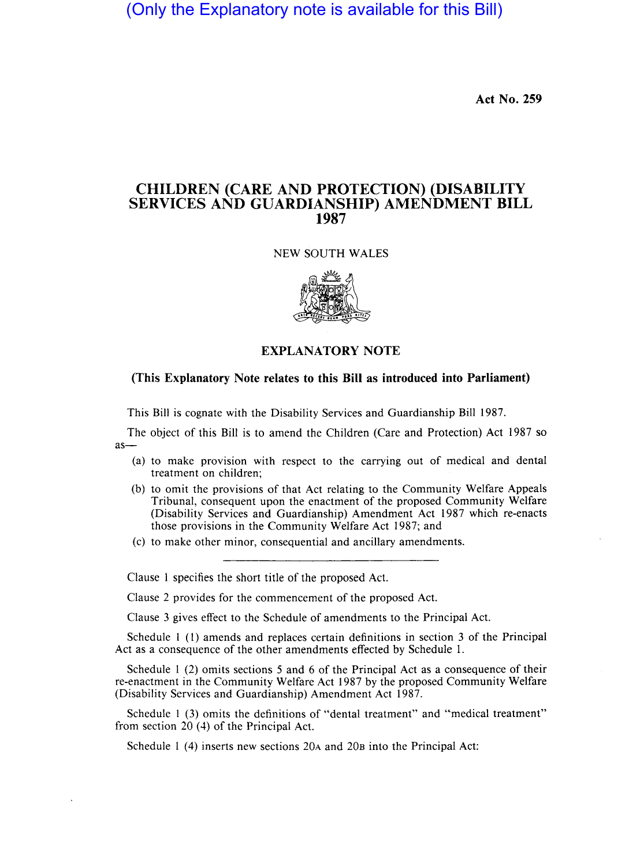(Only the Explanatory note is available for this Bill)

**Act No. 259** 

## **CHILDREN (CARE AND PROTECTION) (DISABILITY SERVICES AND GUARDIANSHIP) AMENDMENT BILL 1987**

## NEW SOUTH WALES



**EXPLANATORY NOTE** 

## **(This Explanatory Note relates to this Bill as introduced into Parliament)**

This Bill is cognate with the Disability Services and Guardianship Bill 1987.

The object of this Bill is to amend the Children (Care and Protection) Act 1987 so as-

- (a) to make provision with respect to the carrying out of medical and dental treatment on children;
- (b) to omit the provisions of that Act relating to the Community Welfare Appeals Tribunal, consequent upon the enactment of the proposed Community Welfare (Disability Services and Guardianship) Amendment Act 1987 which re-enacts those provisions in the Community Welfare Act 1987; and
- (c) to make other minor, consequential and ancillary amendments.

Clause 1 specifies the short title of the proposed Act.

Clause 2 provides for the commencement of the proposed Act.

Clause 3 gives effect to the Schedule of amendments to the Principal Act.

Schedule 1 (1) amends and replaces certain definitions in section 3 of the Principal Act as a consequence of the other amendments effected by Schedule 1.

Schedule 1 (2) omits sections 5 and 6 of the Principal Act as a consequence of their re-enactment in the Community Welfare Act 1987 by the proposed Community Welfare (Disability Services and Guardianship) Amendment Act 1987.

Schedule 1 (3) omits the definitions of "dental treatment" and "medical treatment" from section 20 (4) of the Principal Act.

Schedule 1 (4) inserts new sections 20A and 20B into the Principal Act: